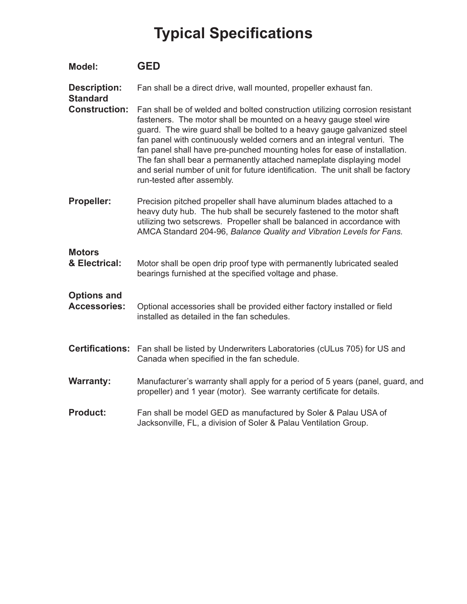## **Typical Specifications**

| <b>Model:</b>                             | <b>GED</b>                                                                                                                                                                                                                                                                                                                                                                                                                                                                                                                                                                   |
|-------------------------------------------|------------------------------------------------------------------------------------------------------------------------------------------------------------------------------------------------------------------------------------------------------------------------------------------------------------------------------------------------------------------------------------------------------------------------------------------------------------------------------------------------------------------------------------------------------------------------------|
| <b>Description:</b><br><b>Standard</b>    | Fan shall be a direct drive, wall mounted, propeller exhaust fan.                                                                                                                                                                                                                                                                                                                                                                                                                                                                                                            |
| <b>Construction:</b>                      | Fan shall be of welded and bolted construction utilizing corrosion resistant<br>fasteners. The motor shall be mounted on a heavy gauge steel wire<br>guard. The wire guard shall be bolted to a heavy gauge galvanized steel<br>fan panel with continuously welded corners and an integral venturi. The<br>fan panel shall have pre-punched mounting holes for ease of installation.<br>The fan shall bear a permanently attached nameplate displaying model<br>and serial number of unit for future identification. The unit shall be factory<br>run-tested after assembly. |
| <b>Propeller:</b>                         | Precision pitched propeller shall have aluminum blades attached to a<br>heavy duty hub. The hub shall be securely fastened to the motor shaft<br>utilizing two setscrews. Propeller shall be balanced in accordance with<br>AMCA Standard 204-96, Balance Quality and Vibration Levels for Fans.                                                                                                                                                                                                                                                                             |
| <b>Motors</b><br>& Electrical:            | Motor shall be open drip proof type with permanently lubricated sealed<br>bearings furnished at the specified voltage and phase.                                                                                                                                                                                                                                                                                                                                                                                                                                             |
| <b>Options and</b><br><b>Accessories:</b> | Optional accessories shall be provided either factory installed or field<br>installed as detailed in the fan schedules.                                                                                                                                                                                                                                                                                                                                                                                                                                                      |
| <b>Certifications:</b>                    | Fan shall be listed by Underwriters Laboratories (cULus 705) for US and<br>Canada when specified in the fan schedule.                                                                                                                                                                                                                                                                                                                                                                                                                                                        |
| <b>Warranty:</b>                          | Manufacturer's warranty shall apply for a period of 5 years (panel, guard, and<br>propeller) and 1 year (motor). See warranty certificate for details.                                                                                                                                                                                                                                                                                                                                                                                                                       |
| <b>Product:</b>                           | Fan shall be model GED as manufactured by Soler & Palau USA of<br>Jacksonville, FL, a division of Soler & Palau Ventilation Group.                                                                                                                                                                                                                                                                                                                                                                                                                                           |